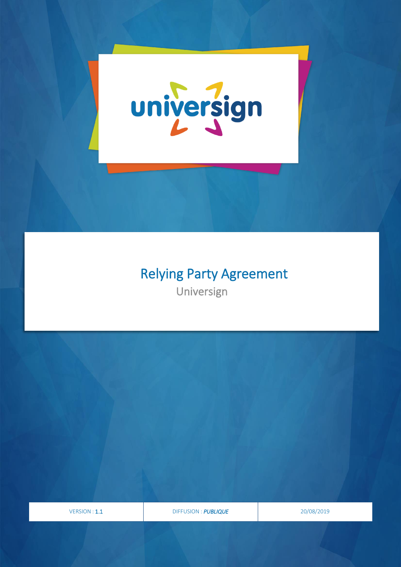

ĺ

# Relying Party Agreement

Universign

VERSION : 1.1 DIFFUSION : *PUBLIQUE* 20/08/2019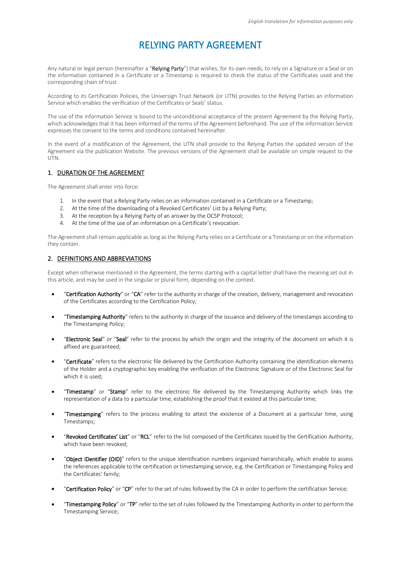# RELYING PARTY AGREEMENT

Any natural or legal person (hereinafter a "Relying Party") that wishes, for its own needs, to rely on a Signature or a Seal or on the information contained in a Certificate or a Timestamp is required to check the status of the Certificates used and the corresponding chain of trust.

According to its Certification Policies, the Universign Trust Network (or UTN) provides to the Relying Parties an information Service which enables the verification of the Certificates or Seals' status.

The use of the information Service is bound to the unconditional acceptance of the present Agreement by the Relying Party, which acknowledges that it has been informed of the terms of the Agreement beforehand. The use of the information Service expresses the consent to the terms and conditions contained hereinafter.

In the event of a modification of the Agreement, the UTN shall provide to the Relying Parties the updated version of the Agreement via the publication Website. The previous versions of the Agreement shall be available on simple request to the UTN.

# 1. DURATION OF THE AGREEMENT

The Agreement shall enter into force:

- 1. In the event that a Relying Party relies on an information contained in a Certificate or a Timestamp;
- 2. At the time of the downloading of a Revoked Certificates' List by a Relying Party;
- 3. At the reception by a Relying Party of an answer by the OCSP Protocol;
- 4. At the time of the use of an information on a Certificate's revocation.

The Agreement shall remain applicable as long as the Relying Party relies on a Certificate or a Timestamp or on the information they contain.

# 2. DEFINITIONS AND ABBREVIATIONS

Except when otherwise mentioned in the Agreement, the terms starting with a capital letter shall have the meaning set out in this article, and may be used in the singular or plural form, depending on the context.

- "Certification Authority" or "CA" refer to the authority in charge of the creation, delivery, management and revocation of the Certificates according to the Certification Policy;
- "Timestamping Authority" refers to the authority in charge of the issuance and delivery of the timestamps according to the Timestamping Policy;
- "Electronic Seal" or "Seal" refer to the process by which the origin and the integrity of the document on which it is affixed are guaranteed;
- "Certificate" refers to the electronic file delivered by the Certification Authority containing the identification elements of the Holder and a cryptographic key enabling the verification of the Electronic Signature or of the Electronic Seal for which it is used;
- "Timestamp" or "Stamp" refer to the electronic file delivered by the Timestamping Authority which links the representation of a data to a particular time, establishing the proof that it existed at this particular time;
- "Timestamping" refers to the process enabling to attest the existence of a Document at a particular time, using Timestamps;
- "Revoked Certificates' List" or "RCL" refer to the list composed of the Certificates issued by the Certification Authority, which have been revoked;
- "Object IDentifier (OID)" refers to the unique identification numbers organized hierarchically, which enable to assess the references applicable to the certification or timestamping service, e.g. the Certification or Timestamping Policy and the Certificates' family;
- "Certification Policy" or "CP" refer to the set of rules followed by the CA in order to perform the certification Service;
- "Timestamping Policy" or "TP" refer to the set of rules followed by the Timestamping Authority in order to perform the Timestamping Service;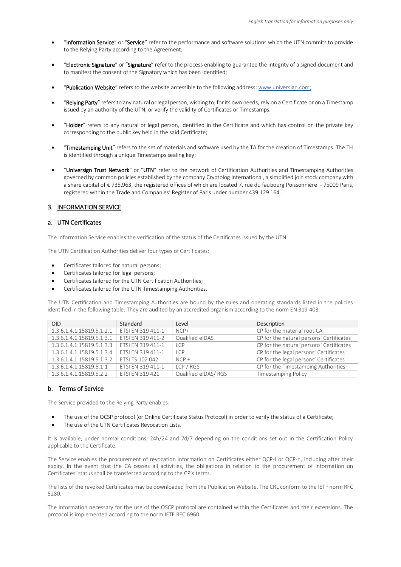- "Information Service" or "Service" refer to the performance and software solutions which the UTN commits to provide to the Relying Party according to the Agreement;
- "Electronic Signature" or "Signature" refer to the process enabling to guarantee the integrity of a signed document and to manifest the consent of the Signatory which has been identified;
- "Publication Website" refers to the website accessible to the following address: [www.universign.com;](http://www.universign.com/)
- "Relying Party" refers to any natural or legal person, wishing to, for its own needs, rely on a Certificate or on a Timestamp issued by an authority of the UTN, or verify the validity of Certificates or Timestamps.
- "Holder" refers to any natural or legal person, identified in the Certificate and which has control on the private key corresponding to the public key held in the said Certificate;
- "Timestamping Unit" refers to the set of materials and software used by the TA for the creation of Timestamps. The TH is identified through a unique Timestamps sealing key;
- "Universign Trust Network" or "UTN" refer to the network of Certification Authorities and Timestamping Authorities governed by common policies established by the company Cryptolog International, a simplified join stock company with a share capital of € 735,963, the registered offices of which are located 7, rue du faubourg Poissonnière - 75009 Paris, registered within the Trade and Companies' Register of Paris under number 439 129 164.

#### 3. INFORMATION SERVICE

#### a. UTN Certificates

The Information Service enables the verification of the status of the Certificates issued by the UTN.

The UTN Certification Authorities deliver four types of Certificates:

- Certificates tailored for natural persons;
- Certificates tailored for legal persons;
- Certificates tailored for the UTN Certification Authorities;
- Certificates tailored for the UTN Timestamping Authorities.

The UTN Certification and Timestamping Authorities are bound by the rules and operating standards listed in the policies identified in the following table. They are audited by an accredited organism according to the norm EN 319 403.

| <b>OID</b>                | Standard               | Level               | Description                              |
|---------------------------|------------------------|---------------------|------------------------------------------|
| 1.3.6.1.4.1.15819.5.1.2.1 | ETSI EN 319 411-1      | $NCP+$              | CP for the material root CA              |
| 1.3.6.1.4.1.15819.5.1.3.1 | ETSI EN 319 411-2      | Qualified eIDAS     | CP for the natural persons' Certificates |
| 1.3.6.1.4.1.15819.5.1.3.3 | ETSI EN 319 411-1      | <b>LCP</b>          | CP for the natural persons' Certificates |
| 1.3.6.1.4.1.15819.5.1.3.4 | ETSI EN 319 411-1      | ICP                 | CP for the legal persons' Certificates   |
| 1.3.6.1.4.1.15819.5.1.3.2 | ETSI TS 102 042        | $NCP +$             | CP for the legal persons' Certificates   |
| 1.3.6.1.4.1.15819.5.1.1   | ETSI EN 319 411-1      | LCP / RGS           | CP for the Timestamping Authorities      |
| 1.3.6.1.4.1.15819.5.2.2   | <b>ETSI EN 319 421</b> | Qualified eIDAS/RGS | <b>Timestamping Policy</b>               |

#### b. Terms of Service

The Service provided to the Relying Party enables:

- The use of the OCSP protocol (or Online Certificate Status Protocol) in order to verify the status of a Certificate;
- The use of the UTN Certificates Revocation Lists.

It is available, under normal conditions, 24h/24 and 7d/7 depending on the conditions set out in the Certification Policy applicable to the Certificate.

The Service enables the procurement of revocation information on Certificates either QCP-I or QCP-n, including after their expiry. In the event that the CA ceases all activities, the obligations in relation to the procurement of information on Certificates' status shall be transferred according to the CP's terms.

The lists of the revoked Certificates may be downloaded from the Publication Website. The CRL conform to the IETF norm RFC 5280.

The information necessary for the use of the OSCP protocol are contained within the Certificates and their extensions. The protocol is implemented according to the norm IETF RFC 6960.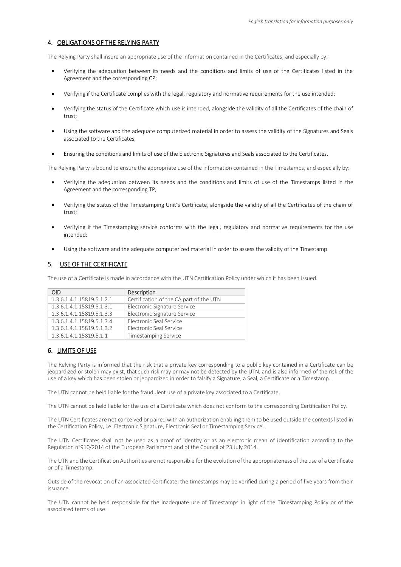# 4. OBLIGATIONS OF THE RELYING PARTY

The Relying Party shall insure an appropriate use of the information contained in the Certificates, and especially by:

- Verifying the adequation between its needs and the conditions and limits of use of the Certificates listed in the Agreement and the corresponding CP;
- Verifying if the Certificate complies with the legal, regulatory and normative requirements for the use intended;
- Verifying the status of the Certificate which use is intended, alongside the validity of all the Certificates of the chain of trust;
- Using the software and the adequate computerized material in order to assess the validity of the Signatures and Seals associated to the Certificates;
- Ensuring the conditions and limits of use of the Electronic Signatures and Seals associated to the Certificates.

The Relying Party is bound to ensure the appropriate use of the information contained in the Timestamps, and especially by:

- Verifying the adequation between its needs and the conditions and limits of use of the Timestamps listed in the Agreement and the corresponding TP;
- Verifying the status of the Timestamping Unit's Certificate, alongside the validity of all the Certificates of the chain of trust;
- Verifying if the Timestamping service conforms with the legal, regulatory and normative requirements for the use intended;
- Using the software and the adequate computerized material in order to assess the validity of the Timestamp.

# 5. USE OF THE CERTIFICATE

The use of a Certificate is made in accordance with the UTN Certification Policy under which it has been issued.

| OID                       | Description                             |
|---------------------------|-----------------------------------------|
| 1.3.6.1.4.1.15819.5.1.2.1 | Certification of the CA part of the UTN |
| 1.3.6.1.4.1.15819.5.1.3.1 | Electronic Signature Service            |
| 1.3.6.1.4.1.15819.5.1.3.3 | Electronic Signature Service            |
| 1.3.6.1.4.1.15819.5.1.3.4 | Electronic Seal Service                 |
| 1.3.6.1.4.1.15819.5.1.3.2 | Electronic Seal Service                 |
| 1.3.6.1.4.1.15819.5.1.1   | <b>Timestamping Service</b>             |

# 6. LIMITS OF USE

The Relying Party is informed that the risk that a private key corresponding to a public key contained in a Certificate can be jeopardized or stolen may exist, that such risk may or may not be detected by the UTN, and is also informed of the risk of the use of a key which has been stolen or jeopardized in order to falsify a Signature, a Seal, a Certificate or a Timestamp.

The UTN cannot be held liable for the fraudulent use of a private key associated to a Certificate.

The UTN cannot be held liable for the use of a Certificate which does not conform to the corresponding Certification Policy.

The UTN Certificates are not conceived or paired with an authorization enabling them to be used outside the contexts listed in the Certification Policy, i.e. Electronic Signature, Electronic Seal or Timestamping Service.

The UTN Certificates shall not be used as a proof of identity or as an electronic mean of identification according to the Regulation n°910/2014 of the European Parliament and of the Council of 23 July 2014.

The UTN and the Certification Authorities are not responsible for the evolution of the appropriateness of the use of a Certificate or of a Timestamp.

Outside of the revocation of an associated Certificate, the timestamps may be verified during a period of five years from their issuance.

The UTN cannot be held responsible for the inadequate use of Timestamps in light of the Timestamping Policy or of the associated terms of use.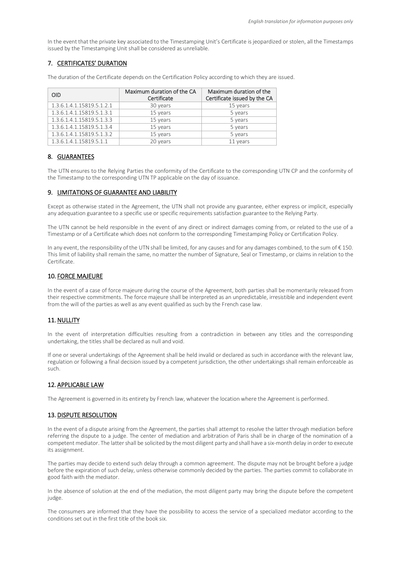In the event that the private key associated to the Timestamping Unit's Certificate is jeopardized or stolen, all the Timestamps issued by the Timestamping Unit shall be considered as unreliable.

# 7. CERTIFICATES' DURATION

The duration of the Certificate depends on the Certification Policy according to which they are issued.

| <b>OID</b>                | Maximum duration of the CA<br>Certificate | Maximum duration of the<br>Certificate issued by the CA |
|---------------------------|-------------------------------------------|---------------------------------------------------------|
| 1.3.6.1.4.1.15819.5.1.2.1 | 30 years                                  | 15 years                                                |
| 1.3.6.1.4.1.15819.5.1.3.1 | 15 years                                  | 5 years                                                 |
| 1.3.6.1.4.1.15819.5.1.3.3 | 15 years                                  | 5 years                                                 |
| 1.3.6.1.4.1.15819.5.1.3.4 | 15 years                                  | 5 years                                                 |
| 1.3.6.1.4.1.15819.5.1.3.2 | 15 years                                  | 5 years                                                 |
| 1.3.6.1.4.1.15819.5.1.1   | 20 years                                  | 11 years                                                |

#### 8. GUARANTEES

The UTN ensures to the Relying Parties the conformity of the Certificate to the corresponding UTN CP and the conformity of the Timestamp to the corresponding UTN TP applicable on the day of issuance.

#### 9. LIMITATIONS OF GUARANTEE AND LIABILITY

Except as otherwise stated in the Agreement, the UTN shall not provide any guarantee, either express or implicit, especially any adequation guarantee to a specific use or specific requirements satisfaction guarantee to the Relying Party.

The UTN cannot be held responsible in the event of any direct or indirect damages coming from, or related to the use of a Timestamp or of a Certificate which does not conform to the corresponding Timestamping Policy or Certification Policy.

In any event, the responsibility of the UTN shall be limited, for any causes and for any damages combined, to the sum of  $\epsilon$  150. This limit of liability shall remain the same, no matter the number of Signature, Seal or Timestamp, or claims in relation to the Certificate.

#### 10. FORCE MAJEURE

In the event of a case of force majeure during the course of the Agreement, both parties shall be momentarily released from their respective commitments. The force majeure shall be interpreted as an unpredictable, irresistible and independent event from the will of the parties as well as any event qualified as such by the French case law.

# 11. NULLITY

In the event of interpretation difficulties resulting from a contradiction in between any titles and the corresponding undertaking, the titles shall be declared as null and void.

If one or several undertakings of the Agreement shall be held invalid or declared as such in accordance with the relevant law, regulation or following a final decision issued by a competent jurisdiction, the other undertakings shall remain enforceable as such.

# 12. APPLICABLE LAW

The Agreement is governed in its entirety by French law, whatever the location where the Agreement is performed.

#### 13. DISPUTE RESOLUTION

In the event of a dispute arising from the Agreement, the parties shall attempt to resolve the latter through mediation before referring the dispute to a judge. The center of mediation and arbitration of Paris shall be in charge of the nomination of a competent mediator. The latter shall be solicited by the most diligent party and shall have a six-month delay in order to execute its assignment.

The parties may decide to extend such delay through a common agreement. The dispute may not be brought before a judge before the expiration of such delay, unless otherwise commonly decided by the parties. The parties commit to collaborate in good faith with the mediator.

In the absence of solution at the end of the mediation, the most diligent party may bring the dispute before the competent judge.

The consumers are informed that they have the possibility to access the service of a specialized mediator according to the conditions set out in the first title of the book six.